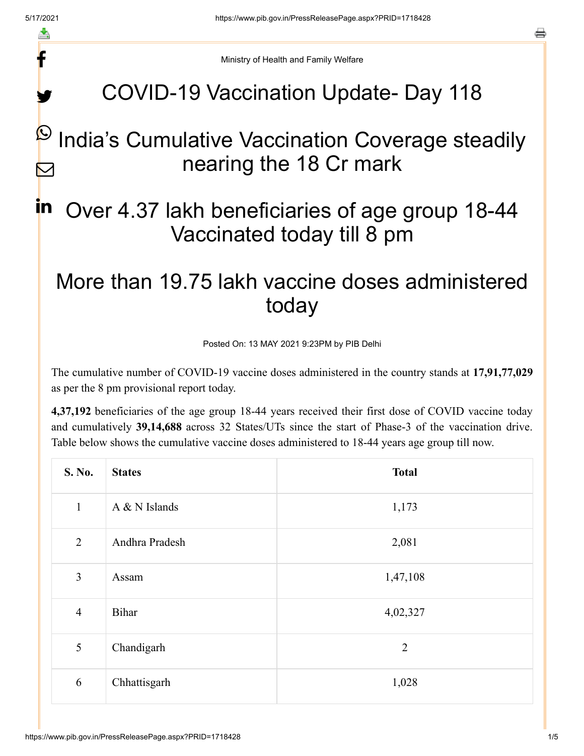f

y.

a

Ministry of Health and Family Welfare

# COVID-19 Vaccination Update- Day 118

#### India's Cumulative Vaccination Coverage steadily nearing the 18 Cr mark  $\bm{\mathcal{Q}}$  $\blacktriangleright$

### Over 4.37 lakh beneficiaries of age group 18-44 Vaccinated today till 8 pm in

## More than 19.75 lakh vaccine doses administered today

Posted On: 13 MAY 2021 9:23PM by PIB Delhi

The cumulative number of COVID-19 vaccine doses administered in the country stands at **17,91,77,029** as per the 8 pm provisional report today.

**4,37,192** beneficiaries of the age group 18-44 years received their first dose of COVID vaccine today and cumulatively **39,14,688** across 32 States/UTs since the start of Phase-3 of the vaccination drive. Table below shows the cumulative vaccine doses administered to 18-44 years age group till now.

| S. No.         | <b>States</b>  | <b>Total</b>   |
|----------------|----------------|----------------|
| $\mathbf{1}$   | A & N Islands  | 1,173          |
| $\overline{2}$ | Andhra Pradesh | 2,081          |
| 3              | Assam          | 1,47,108       |
| $\overline{4}$ | Bihar          | 4,02,327       |
| 5              | Chandigarh     | $\overline{2}$ |
| 6              | Chhattisgarh   | 1,028          |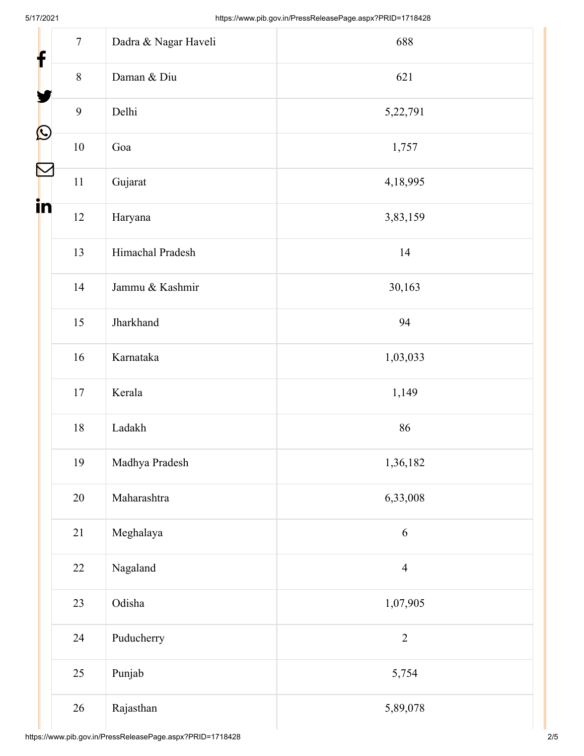| $\tau$<br>f          | Dadra & Nagar Haveli | 688            |  |  |
|----------------------|----------------------|----------------|--|--|
| $8\,$                | Daman & Diu          | 621            |  |  |
| $\mathbf{9}$         | Delhi                | 5,22,791       |  |  |
| $\bigcirc$<br>$10\,$ | Goa                  | 1,757          |  |  |
| $\Gamma$<br>$11\,$   | Gujarat              | 4,18,995       |  |  |
| in<br>12             | Haryana              | 3,83,159       |  |  |
| 13                   | Himachal Pradesh     | 14             |  |  |
| 14                   | Jammu & Kashmir      | 30,163         |  |  |
| 15                   | Jharkhand            | 94             |  |  |
| 16                   | Karnataka            | 1,03,033       |  |  |
| 17                   | Kerala               | 1,149          |  |  |
| $18\,$               | Ladakh               | 86             |  |  |
| 19                   | Madhya Pradesh       | 1,36,182       |  |  |
| 20                   | Maharashtra          | 6,33,008       |  |  |
| 21                   | Meghalaya            | 6              |  |  |
| 22                   | Nagaland             | $\overline{4}$ |  |  |
| 23                   | Odisha               | 1,07,905       |  |  |
| 24                   | Puducherry           | $\overline{2}$ |  |  |
| 25                   | Punjab               | 5,754          |  |  |
| 26                   | Rajasthan            | 5,89,078       |  |  |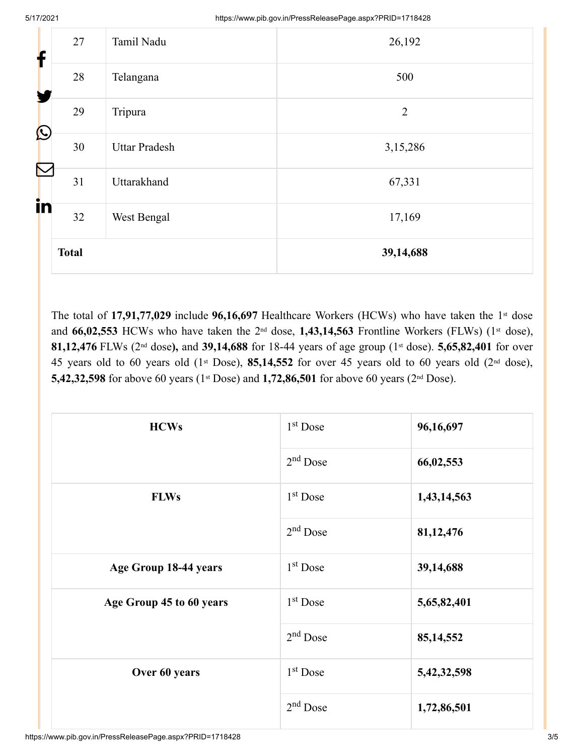| f                 | 27           | Tamil Nadu           | 26,192         |
|-------------------|--------------|----------------------|----------------|
|                   | 28           | Telangana            | 500            |
|                   | 29           | Tripura              | $\overline{2}$ |
| $\mathbf{\Omega}$ | 30           | <b>Uttar Pradesh</b> | 3,15,286       |
| $\mathcal{R}$     | 31           | Uttarakhand          | 67,331         |
| in                | 32           | West Bengal          | 17,169         |
|                   | <b>Total</b> |                      | 39,14,688      |

The total of 17,91,77,029 include 96,16,697 Healthcare Workers (HCWs) who have taken the 1<sup>st</sup> dose and 66,02,553 HCWs who have taken the 2<sup>nd</sup> dose, 1,43,14,563 Frontline Workers (FLWs) (1<sup>st</sup> dose), 81,12,476 FLWs (2<sup>nd</sup> dose), and 39,14,688 for 18-44 years of age group (1<sup>st</sup> dose). 5,65,82,401 for over 45 years old to 60 years old  $(1<sup>st</sup> Does), 85,14,552$  for over 45 years old to 60 years old  $(2<sup>nd</sup> dose),$ 5,42,32,598 for above 60 years (1<sup>st</sup> Dose) and 1,72,86,501 for above 60 years (2<sup>nd</sup> Dose).

| <b>HCWs</b>              | $1st$ Dose | 96,16,697      |
|--------------------------|------------|----------------|
|                          | $2nd$ Dose | 66,02,553      |
| <b>FLWs</b>              | $1st$ Dose | 1,43,14,563    |
|                          | $2nd$ Dose | 81,12,476      |
| Age Group 18-44 years    | $1st$ Dose | 39,14,688      |
| Age Group 45 to 60 years | $1st$ Dose | 5,65,82,401    |
|                          | $2nd$ Dose | 85, 14, 552    |
| Over 60 years            | $1st$ Dose | 5, 42, 32, 598 |
|                          | $2nd$ Dose | 1,72,86,501    |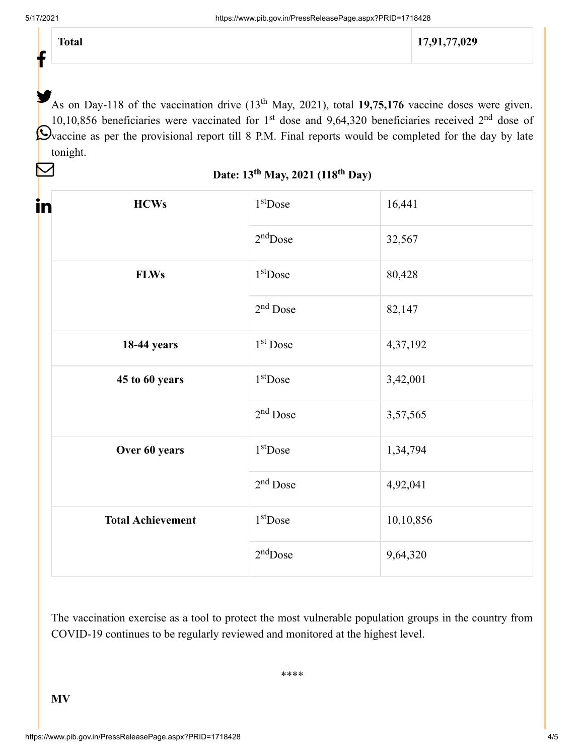t

M

**Total 17,91,77,029**

As on Day-118 of the vaccination drive (13<sup>th</sup> May, 2021), total 19,75,176 vaccine doses were given. 10,10,856 beneficiaries were vaccinated for 1<sup>st</sup> dose and 9,64,320 beneficiaries received  $2<sup>nd</sup>$  dose of Dvaccine as per the provisional report till 8 P.M. Final reports would be completed for the day by late tonight.

Date: 13<sup>th</sup> May, 2021 (118<sup>th</sup> Day)

| in<br><b>HCWs</b>        | $1st$ Dose           | 16,441    |
|--------------------------|----------------------|-----------|
|                          | $2nd$ Dose           | 32,567    |
| <b>FLWs</b>              | $1st$ Dose           | 80,428    |
|                          | $2nd$ Dose           | 82,147    |
| <b>18-44 years</b>       | 1 <sup>st</sup> Dose | 4,37,192  |
| 45 to 60 years           | $1st$ Dose           | 3,42,001  |
|                          | $2nd$ Dose           | 3,57,565  |
| Over 60 years            | $1st$ Dose           | 1,34,794  |
|                          | $2nd$ Dose           | 4,92,041  |
| <b>Total Achievement</b> | $1st$ Dose           | 10,10,856 |
|                          | $2nd$ Dose           | 9,64,320  |

The vaccination exercise as a tool to protect the most vulnerable population groups in the country from COVID-19 continues to be regularly reviewed and monitored at the highest level.

\*\*\*\*

**MV**